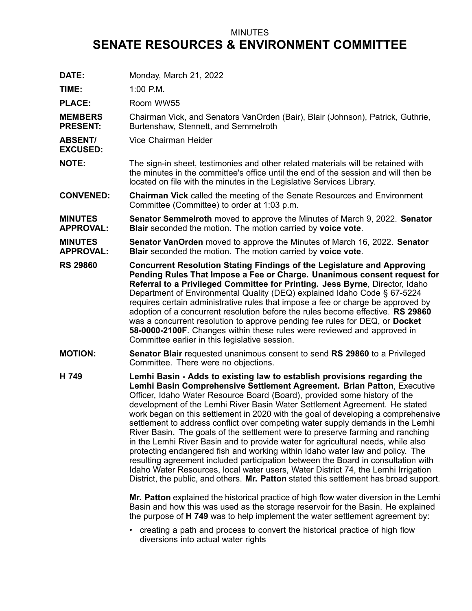## MINUTES **SENATE RESOURCES & ENVIRONMENT COMMITTEE**

| DATE:                              | Monday, March 21, 2022                                                                                                                                                                                                                                                                                                                                                                                                                                                                                                                                                                                                                                                                                                                                                                                                                                                                                                                                                                                                                                                                                      |
|------------------------------------|-------------------------------------------------------------------------------------------------------------------------------------------------------------------------------------------------------------------------------------------------------------------------------------------------------------------------------------------------------------------------------------------------------------------------------------------------------------------------------------------------------------------------------------------------------------------------------------------------------------------------------------------------------------------------------------------------------------------------------------------------------------------------------------------------------------------------------------------------------------------------------------------------------------------------------------------------------------------------------------------------------------------------------------------------------------------------------------------------------------|
| TIME:                              | 1:00 P.M.                                                                                                                                                                                                                                                                                                                                                                                                                                                                                                                                                                                                                                                                                                                                                                                                                                                                                                                                                                                                                                                                                                   |
| <b>PLACE:</b>                      | Room WW55                                                                                                                                                                                                                                                                                                                                                                                                                                                                                                                                                                                                                                                                                                                                                                                                                                                                                                                                                                                                                                                                                                   |
| <b>MEMBERS</b><br><b>PRESENT:</b>  | Chairman Vick, and Senators VanOrden (Bair), Blair (Johnson), Patrick, Guthrie,<br>Burtenshaw, Stennett, and Semmelroth                                                                                                                                                                                                                                                                                                                                                                                                                                                                                                                                                                                                                                                                                                                                                                                                                                                                                                                                                                                     |
| <b>ABSENT/</b><br><b>EXCUSED:</b>  | Vice Chairman Heider                                                                                                                                                                                                                                                                                                                                                                                                                                                                                                                                                                                                                                                                                                                                                                                                                                                                                                                                                                                                                                                                                        |
| <b>NOTE:</b>                       | The sign-in sheet, testimonies and other related materials will be retained with<br>the minutes in the committee's office until the end of the session and will then be<br>located on file with the minutes in the Legislative Services Library.                                                                                                                                                                                                                                                                                                                                                                                                                                                                                                                                                                                                                                                                                                                                                                                                                                                            |
| <b>CONVENED:</b>                   | <b>Chairman Vick</b> called the meeting of the Senate Resources and Environment<br>Committee (Committee) to order at 1:03 p.m.                                                                                                                                                                                                                                                                                                                                                                                                                                                                                                                                                                                                                                                                                                                                                                                                                                                                                                                                                                              |
| <b>MINUTES</b><br><b>APPROVAL:</b> | <b>Senator Semmelroth</b> moved to approve the Minutes of March 9, 2022. Senator<br>Blair seconded the motion. The motion carried by voice vote.                                                                                                                                                                                                                                                                                                                                                                                                                                                                                                                                                                                                                                                                                                                                                                                                                                                                                                                                                            |
| <b>MINUTES</b><br><b>APPROVAL:</b> | <b>Senator VanOrden</b> moved to approve the Minutes of March 16, 2022. Senator<br>Blair seconded the motion. The motion carried by voice vote.                                                                                                                                                                                                                                                                                                                                                                                                                                                                                                                                                                                                                                                                                                                                                                                                                                                                                                                                                             |
| <b>RS 29860</b>                    | <b>Concurrent Resolution Stating Findings of the Legislature and Approving</b><br>Pending Rules That Impose a Fee or Charge. Unanimous consent request for<br>Referral to a Privileged Committee for Printing. Jess Byrne, Director, Idaho<br>Department of Environmental Quality (DEQ) explained Idaho Code § 67-5224<br>requires certain administrative rules that impose a fee or charge be approved by<br>adoption of a concurrent resolution before the rules become effective. RS 29860<br>was a concurrent resolution to approve pending fee rules for DEQ, or Docket<br>58-0000-2100F. Changes within these rules were reviewed and approved in<br>Committee earlier in this legislative session.                                                                                                                                                                                                                                                                                                                                                                                                   |
| <b>MOTION:</b>                     | <b>Senator Blair</b> requested unanimous consent to send RS 29860 to a Privileged<br>Committee. There were no objections.                                                                                                                                                                                                                                                                                                                                                                                                                                                                                                                                                                                                                                                                                                                                                                                                                                                                                                                                                                                   |
| H 749                              | Lemhi Basin - Adds to existing law to establish provisions regarding the<br>Lemhi Basin Comprehensive Settlement Agreement. Brian Patton, Executive<br>Officer, Idaho Water Resource Board (Board), provided some history of the<br>development of the Lemhi River Basin Water Settlement Agreement. He stated<br>work began on this settlement in 2020 with the goal of developing a comprehensive<br>settlement to address conflict over competing water supply demands in the Lemhi<br>River Basin. The goals of the settlement were to preserve farming and ranching<br>in the Lemhi River Basin and to provide water for agricultural needs, while also<br>protecting endangered fish and working within Idaho water law and policy. The<br>resulting agreement included participation between the Board in consultation with<br>Idaho Water Resources, local water users, Water District 74, the Lemhi Irrigation<br>District, the public, and others. Mr. Patton stated this settlement has broad support.<br>Mr. Patton explained the historical practice of high flow water diversion in the Lemhi |
|                                    | Basin and how this was used as the storage reservoir for the Basin. He explained<br>the purpose of H 749 was to help implement the water settlement agreement by:                                                                                                                                                                                                                                                                                                                                                                                                                                                                                                                                                                                                                                                                                                                                                                                                                                                                                                                                           |

• creating <sup>a</sup> path and process to convert the historical practice of high flow diversions into actual water rights